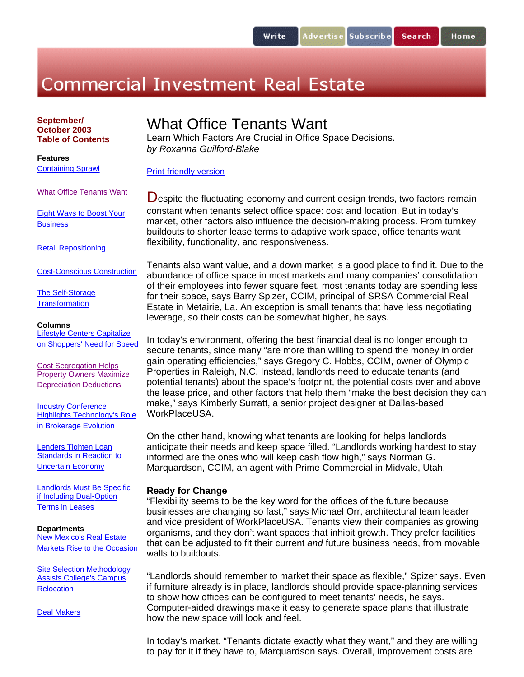# **Commercial Investment Real Estate**

**September/ October 2003 Table of Contents** 

**Features** Containing Sprawl

# What Office Tenants Want

Learn Which Factors Are Crucial in Office Space Decisions. *by Roxanna Guilford-Blake*

What Office Tenants Want

Eight Ways to Boost Your **Business** 

Retail Repositioning

Cost-Conscious Construction

The Self-Storage **Transformation** 

#### **Columns**

Lifestyle Centers Capitalize on Shoppers' Need for Speed

Cost Segregation Helps Property Owners Maximize Depreciation Deductions

Industry Conference Highlights Technology's Role in Brokerage Evolution

Lenders Tighten Loan Standards in Reaction to Uncertain Economy

Landlords Must Be Specific if Including Dual-Option Terms in Leases

#### **Departments**

New Mexico's Real Estate Markets Rise to the Occasion

Site Selection Methodology Assists College's Campus **Relocation** 

Deal Makers

Print-friendly version

Despite the fluctuating economy and current design trends, two factors remain constant when tenants select office space: cost and location. But in today's market, other factors also influence the decision-making process. From turnkey buildouts to shorter lease terms to adaptive work space, office tenants want flexibility, functionality, and responsiveness.

Tenants also want value, and a down market is a good place to find it. Due to the abundance of office space in most markets and many companies' consolidation of their employees into fewer square feet, most tenants today are spending less for their space, says Barry Spizer, CCIM, principal of SRSA Commercial Real Estate in Metairie, La. An exception is small tenants that have less negotiating leverage, so their costs can be somewhat higher, he says.

In today's environment, offering the best financial deal is no longer enough to secure tenants, since many "are more than willing to spend the money in order gain operating efficiencies," says Gregory C. Hobbs, CCIM, owner of Olympic Properties in Raleigh, N.C. Instead, landlords need to educate tenants (and potential tenants) about the space's footprint, the potential costs over and above the lease price, and other factors that help them "make the best decision they can make," says Kimberly Surratt, a senior project designer at Dallas-based WorkPlaceUSA.

On the other hand, knowing what tenants are looking for helps landlords anticipate their needs and keep space filled. "Landlords working hardest to stay informed are the ones who will keep cash flow high," says Norman G. Marquardson, CCIM, an agent with Prime Commercial in Midvale, Utah.

### **Ready for Change**

"Flexibility seems to be the key word for the offices of the future because businesses are changing so fast," says Michael Orr, architectural team leader and vice president of WorkPlaceUSA. Tenants view their companies as growing organisms, and they don't want spaces that inhibit growth. They prefer facilities that can be adjusted to fit their current *and* future business needs, from movable walls to buildouts.

"Landlords should remember to market their space as flexible," Spizer says. Even if furniture already is in place, landlords should provide space-planning services to show how offices can be configured to meet tenants' needs, he says. Computer-aided drawings make it easy to generate space plans that illustrate how the new space will look and feel.

In today's market, "Tenants dictate exactly what they want," and they are willing to pay for it if they have to, Marquardson says. Overall, improvement costs are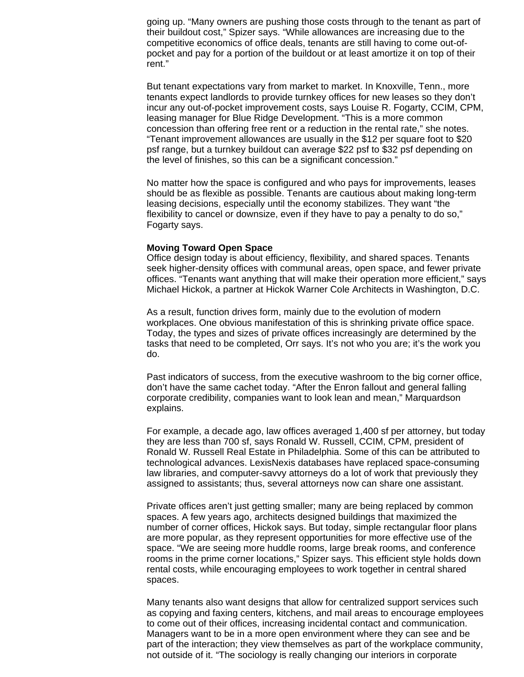going up. "Many owners are pushing those costs through to the tenant as part of their buildout cost," Spizer says. "While allowances are increasing due to the competitive economics of office deals, tenants are still having to come out-ofpocket and pay for a portion of the buildout or at least amortize it on top of their rent."

But tenant expectations vary from market to market. In Knoxville, Tenn., more tenants expect landlords to provide turnkey offices for new leases so they don't incur any out-of-pocket improvement costs, says Louise R. Fogarty, CCIM, CPM, leasing manager for Blue Ridge Development. "This is a more common concession than offering free rent or a reduction in the rental rate," she notes. "Tenant improvement allowances are usually in the \$12 per square foot to \$20 psf range, but a turnkey buildout can average \$22 psf to \$32 psf depending on the level of finishes, so this can be a significant concession."

No matter how the space is configured and who pays for improvements, leases should be as flexible as possible. Tenants are cautious about making long-term leasing decisions, especially until the economy stabilizes. They want "the flexibility to cancel or downsize, even if they have to pay a penalty to do so," Fogarty says.

#### **Moving Toward Open Space**

Office design today is about efficiency, flexibility, and shared spaces. Tenants seek higher-density offices with communal areas, open space, and fewer private offices. "Tenants want anything that will make their operation more efficient," says Michael Hickok, a partner at Hickok Warner Cole Architects in Washington, D.C.

As a result, function drives form, mainly due to the evolution of modern workplaces. One obvious manifestation of this is shrinking private office space. Today, the types and sizes of private offices increasingly are determined by the tasks that need to be completed, Orr says. It's not who you are; it's the work you do.

Past indicators of success, from the executive washroom to the big corner office, don't have the same cachet today. "After the Enron fallout and general falling corporate credibility, companies want to look lean and mean," Marquardson explains.

For example, a decade ago, law offices averaged 1,400 sf per attorney, but today they are less than 700 sf, says Ronald W. Russell, CCIM, CPM, president of Ronald W. Russell Real Estate in Philadelphia. Some of this can be attributed to technological advances. LexisNexis databases have replaced space-consuming law libraries, and computer-savvy attorneys do a lot of work that previously they assigned to assistants; thus, several attorneys now can share one assistant.

Private offices aren't just getting smaller; many are being replaced by common spaces. A few years ago, architects designed buildings that maximized the number of corner offices, Hickok says. But today, simple rectangular floor plans are more popular, as they represent opportunities for more effective use of the space. "We are seeing more huddle rooms, large break rooms, and conference rooms in the prime corner locations," Spizer says. This efficient style holds down rental costs, while encouraging employees to work together in central shared spaces.

Many tenants also want designs that allow for centralized support services such as copying and faxing centers, kitchens, and mail areas to encourage employees to come out of their offices, increasing incidental contact and communication. Managers want to be in a more open environment where they can see and be part of the interaction; they view themselves as part of the workplace community, not outside of it. "The sociology is really changing our interiors in corporate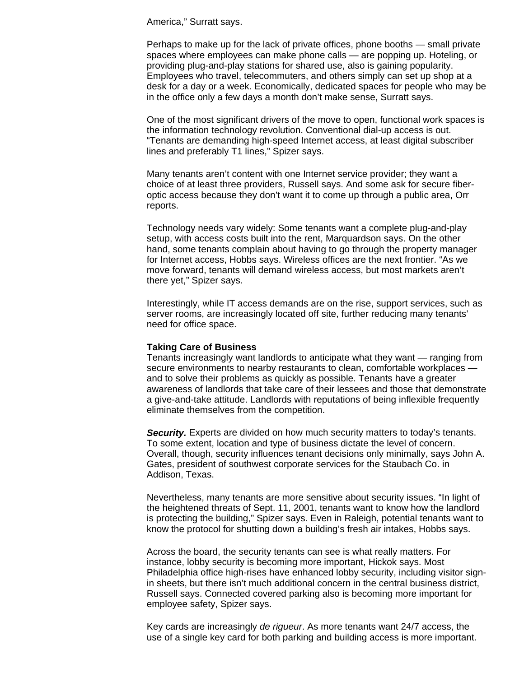America," Surratt says.

Perhaps to make up for the lack of private offices, phone booths — small private spaces where employees can make phone calls — are popping up. Hoteling, or providing plug-and-play stations for shared use, also is gaining popularity. Employees who travel, telecommuters, and others simply can set up shop at a desk for a day or a week. Economically, dedicated spaces for people who may be in the office only a few days a month don't make sense, Surratt says.

One of the most significant drivers of the move to open, functional work spaces is the information technology revolution. Conventional dial-up access is out. "Tenants are demanding high-speed Internet access, at least digital subscriber lines and preferably T1 lines," Spizer says.

Many tenants aren't content with one Internet service provider; they want a choice of at least three providers, Russell says. And some ask for secure fiberoptic access because they don't want it to come up through a public area, Orr reports.

Technology needs vary widely: Some tenants want a complete plug-and-play setup, with access costs built into the rent, Marquardson says. On the other hand, some tenants complain about having to go through the property manager for Internet access, Hobbs says. Wireless offices are the next frontier. "As we move forward, tenants will demand wireless access, but most markets aren't there yet," Spizer says.

Interestingly, while IT access demands are on the rise, support services, such as server rooms, are increasingly located off site, further reducing many tenants' need for office space.

#### **Taking Care of Business**

Tenants increasingly want landlords to anticipate what they want — ranging from secure environments to nearby restaurants to clean, comfortable workplaces and to solve their problems as quickly as possible. Tenants have a greater awareness of landlords that take care of their lessees and those that demonstrate a give-and-take attitude. Landlords with reputations of being inflexible frequently eliminate themselves from the competition.

**Security.** Experts are divided on how much security matters to today's tenants. To some extent, location and type of business dictate the level of concern. Overall, though, security influences tenant decisions only minimally, says John A. Gates, president of southwest corporate services for the Staubach Co. in Addison, Texas.

Nevertheless, many tenants are more sensitive about security issues. "In light of the heightened threats of Sept. 11, 2001, tenants want to know how the landlord is protecting the building," Spizer says. Even in Raleigh, potential tenants want to know the protocol for shutting down a building's fresh air intakes, Hobbs says.

Across the board, the security tenants can see is what really matters. For instance, lobby security is becoming more important, Hickok says. Most Philadelphia office high-rises have enhanced lobby security, including visitor signin sheets, but there isn't much additional concern in the central business district, Russell says. Connected covered parking also is becoming more important for employee safety, Spizer says.

Key cards are increasingly *de rigueur*. As more tenants want 24/7 access, the use of a single key card for both parking and building access is more important.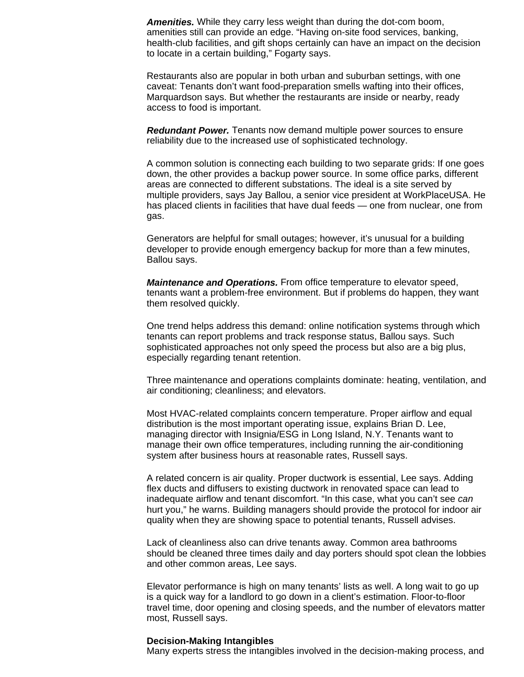*Amenities.* While they carry less weight than during the dot-com boom, amenities still can provide an edge. "Having on-site food services, banking, health-club facilities, and gift shops certainly can have an impact on the decision to locate in a certain building," Fogarty says.

Restaurants also are popular in both urban and suburban settings, with one caveat: Tenants don't want food-preparation smells wafting into their offices, Marquardson says. But whether the restaurants are inside or nearby, ready access to food is important.

*Redundant Power.* Tenants now demand multiple power sources to ensure reliability due to the increased use of sophisticated technology.

A common solution is connecting each building to two separate grids: If one goes down, the other provides a backup power source. In some office parks, different areas are connected to different substations. The ideal is a site served by multiple providers, says Jay Ballou, a senior vice president at WorkPlaceUSA. He has placed clients in facilities that have dual feeds — one from nuclear, one from gas.

Generators are helpful for small outages; however, it's unusual for a building developer to provide enough emergency backup for more than a few minutes, Ballou says.

*Maintenance and Operations.* From office temperature to elevator speed, tenants want a problem-free environment. But if problems do happen, they want them resolved quickly.

One trend helps address this demand: online notification systems through which tenants can report problems and track response status, Ballou says. Such sophisticated approaches not only speed the process but also are a big plus, especially regarding tenant retention.

Three maintenance and operations complaints dominate: heating, ventilation, and air conditioning; cleanliness; and elevators.

Most HVAC-related complaints concern temperature. Proper airflow and equal distribution is the most important operating issue, explains Brian D. Lee, managing director with Insignia/ESG in Long Island, N.Y. Tenants want to manage their own office temperatures, including running the air-conditioning system after business hours at reasonable rates, Russell says.

A related concern is air quality. Proper ductwork is essential, Lee says. Adding flex ducts and diffusers to existing ductwork in renovated space can lead to inadequate airflow and tenant discomfort. "In this case, what you can't see *can* hurt you," he warns. Building managers should provide the protocol for indoor air quality when they are showing space to potential tenants, Russell advises.

Lack of cleanliness also can drive tenants away. Common area bathrooms should be cleaned three times daily and day porters should spot clean the lobbies and other common areas, Lee says.

Elevator performance is high on many tenants' lists as well. A long wait to go up is a quick way for a landlord to go down in a client's estimation. Floor-to-floor travel time, door opening and closing speeds, and the number of elevators matter most, Russell says.

#### **Decision-Making Intangibles**

Many experts stress the intangibles involved in the decision-making process, and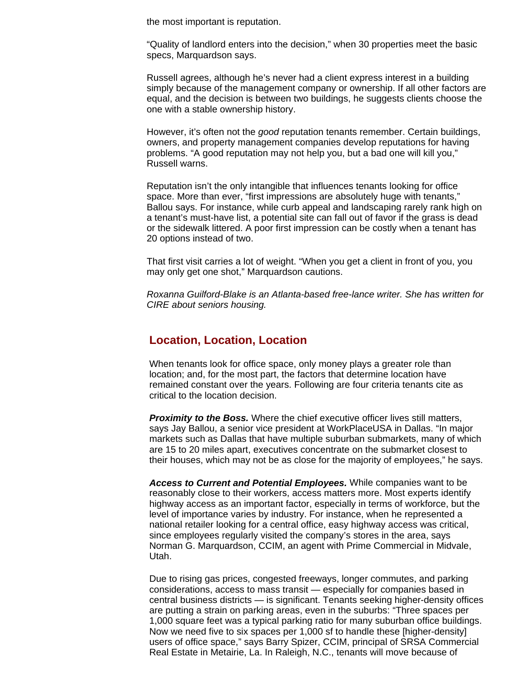the most important is reputation.

"Quality of landlord enters into the decision," when 30 properties meet the basic specs, Marquardson says.

Russell agrees, although he's never had a client express interest in a building simply because of the management company or ownership. If all other factors are equal, and the decision is between two buildings, he suggests clients choose the one with a stable ownership history.

However, it's often not the *good* reputation tenants remember. Certain buildings, owners, and property management companies develop reputations for having problems. "A good reputation may not help you, but a bad one will kill you," Russell warns.

Reputation isn't the only intangible that influences tenants looking for office space. More than ever, "first impressions are absolutely huge with tenants," Ballou says. For instance, while curb appeal and landscaping rarely rank high on a tenant's must-have list, a potential site can fall out of favor if the grass is dead or the sidewalk littered. A poor first impression can be costly when a tenant has 20 options instead of two.

That first visit carries a lot of weight. "When you get a client in front of you, you may only get one shot," Marquardson cautions.

*Roxanna Guilford-Blake is an Atlanta-based free-lance writer. She has written for CIRE about seniors housing.*

# **Location, Location, Location**

When tenants look for office space, only money plays a greater role than location; and, for the most part, the factors that determine location have remained constant over the years. Following are four criteria tenants cite as critical to the location decision.

*Proximity to the Boss.* Where the chief executive officer lives still matters, says Jay Ballou, a senior vice president at WorkPlaceUSA in Dallas. "In major markets such as Dallas that have multiple suburban submarkets, many of which are 15 to 20 miles apart, executives concentrate on the submarket closest to their houses, which may not be as close for the majority of employees," he says.

*Access to Current and Potential Employees.* While companies want to be reasonably close to their workers, access matters more. Most experts identify highway access as an important factor, especially in terms of workforce, but the level of importance varies by industry. For instance, when he represented a national retailer looking for a central office, easy highway access was critical, since employees regularly visited the company's stores in the area, says Norman G. Marquardson, CCIM, an agent with Prime Commercial in Midvale, Utah.

Due to rising gas prices, congested freeways, longer commutes, and parking considerations, access to mass transit — especially for companies based in central business districts — is significant. Tenants seeking higher-density offices are putting a strain on parking areas, even in the suburbs: "Three spaces per 1,000 square feet was a typical parking ratio for many suburban office buildings. Now we need five to six spaces per 1,000 sf to handle these [higher-density] users of office space," says Barry Spizer, CCIM, principal of SRSA Commercial Real Estate in Metairie, La. In Raleigh, N.C., tenants will move because of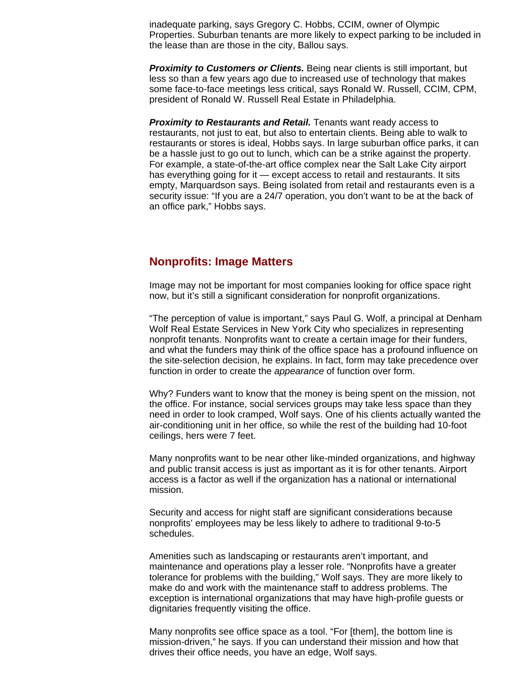inadequate parking, says Gregory C. Hobbs, CCIM, owner of Olympic Properties. Suburban tenants are more likely to expect parking to be included in the lease than are those in the city, Ballou says.

**Proximity to Customers or Clients.** Being near clients is still important, but less so than a few years ago due to increased use of technology that makes some face-to-face meetings less critical, says Ronald W. Russell, CCIM, CPM, president of Ronald W. Russell Real Estate in Philadelphia.

*Proximity to Restaurants and Retail.* Tenants want ready access to restaurants, not just to eat, but also to entertain clients. Being able to walk to restaurants or stores is ideal, Hobbs says. In large suburban office parks, it can be a hassle just to go out to lunch, which can be a strike against the property. For example, a state-of-the-art office complex near the Salt Lake City airport has everything going for it — except access to retail and restaurants. It sits empty, Marquardson says. Being isolated from retail and restaurants even is a security issue: "If you are a 24/7 operation, you don't want to be at the back of an office park," Hobbs says.

## **Nonprofits: Image Matters**

Image may not be important for most companies looking for office space right now, but it's still a significant consideration for nonprofit organizations.

"The perception of value is important," says Paul G. Wolf, a principal at Denham Wolf Real Estate Services in New York City who specializes in representing nonprofit tenants. Nonprofits want to create a certain image for their funders, and what the funders may think of the office space has a profound influence on the site-selection decision, he explains. In fact, form may take precedence over function in order to create the *appearance* of function over form.

Why? Funders want to know that the money is being spent on the mission, not the office. For instance, social services groups may take less space than they need in order to look cramped, Wolf says. One of his clients actually wanted the air-conditioning unit in her office, so while the rest of the building had 10-foot ceilings, hers were 7 feet.

Many nonprofits want to be near other like-minded organizations, and highway and public transit access is just as important as it is for other tenants. Airport access is a factor as well if the organization has a national or international mission.

Security and access for night staff are significant considerations because nonprofits' employees may be less likely to adhere to traditional 9-to-5 schedules.

Amenities such as landscaping or restaurants aren't important, and maintenance and operations play a lesser role. "Nonprofits have a greater tolerance for problems with the building," Wolf says. They are more likely to make do and work with the maintenance staff to address problems. The exception is international organizations that may have high-profile guests or dignitaries frequently visiting the office.

Many nonprofits see office space as a tool. "For [them], the bottom line is mission-driven," he says. If you can understand their mission and how that drives their office needs, you have an edge, Wolf says.